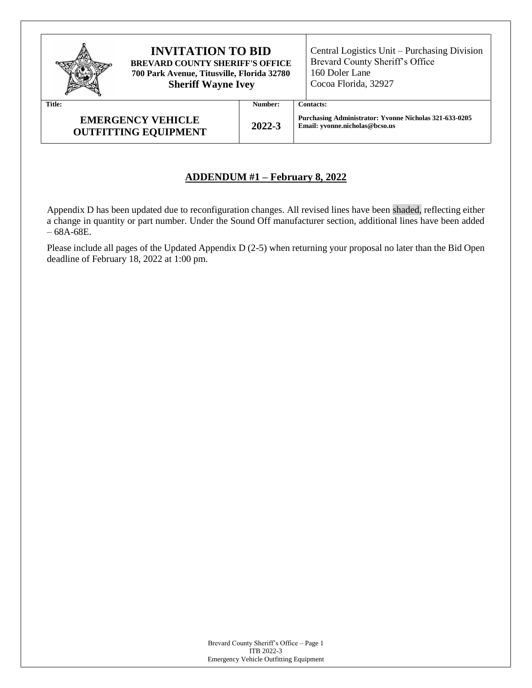| <b>INVITATION TO BID</b><br><b>BREVARD COUNTY SHERIFF'S OFFICE</b><br>700 Park Avenue, Titusville, Florida 32780<br><b>Sheriff Wayne Ivey</b> | Central Logistics Unit – Purchasing Division<br>Brevard County Sheriff's Office<br>160 Doler Lane<br>Cocoa Florida, 32927 |                                                                                          |
|-----------------------------------------------------------------------------------------------------------------------------------------------|---------------------------------------------------------------------------------------------------------------------------|------------------------------------------------------------------------------------------|
| <b>Title:</b>                                                                                                                                 | Number:                                                                                                                   | <b>Contacts:</b>                                                                         |
| <b>EMERGENCY VEHICLE</b><br><b>OUTFITTING EQUIPMENT</b>                                                                                       | 2022-3                                                                                                                    | Purchasing Administrator: Yvonne Nicholas 321-633-0205<br>Email: vvonne.nicholas@bcso.us |

## **ADDENDUM #1 – February 8, 2022**

Appendix D has been updated due to reconfiguration changes. All revised lines have been shaded, reflecting either a change in quantity or part number. Under the Sound Off manufacturer section, additional lines have been added – 68A-68E.

Please include all pages of the Updated Appendix D (2-5) when returning your proposal no later than the Bid Open deadline of February 18, 2022 at 1:00 pm.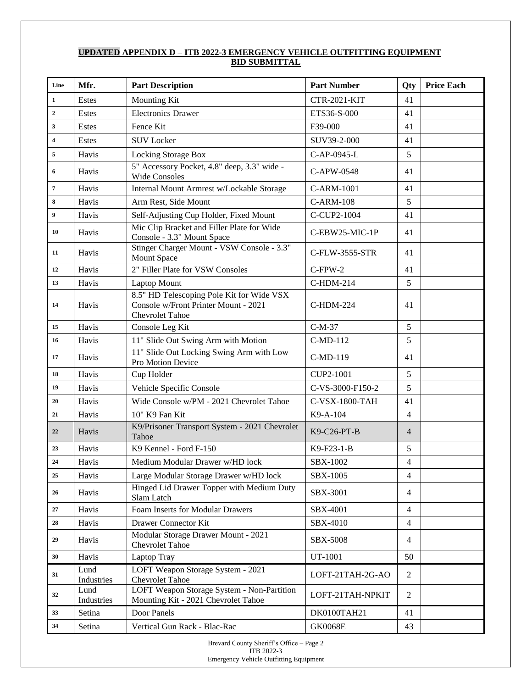## **UPDATED APPENDIX D – ITB 2022-3 EMERGENCY VEHICLE OUTFITTING EQUIPMENT BID SUBMITTAL**

| Line                    | Mfr.               | <b>Part Description</b>                                                                                     | <b>Part Number</b>  | Qty            | <b>Price Each</b> |
|-------------------------|--------------------|-------------------------------------------------------------------------------------------------------------|---------------------|----------------|-------------------|
| $\mathbf{1}$            | <b>Estes</b>       | <b>Mounting Kit</b>                                                                                         | <b>CTR-2021-KIT</b> | 41             |                   |
| $\overline{2}$          | Estes              | <b>Electronics Drawer</b>                                                                                   | ETS36-S-000         | 41             |                   |
| 3                       | <b>Estes</b>       | Fence Kit                                                                                                   | F39-000             | 41             |                   |
| $\overline{\mathbf{4}}$ | Estes              | <b>SUV Locker</b>                                                                                           | SUV39-2-000         | 41             |                   |
| 5                       | Havis              | Locking Storage Box                                                                                         | C-AP-0945-L         | 5              |                   |
| 6                       | Havis              | 5" Accessory Pocket, 4.8" deep, 3.3" wide -<br><b>Wide Consoles</b>                                         | C-APW-0548          | 41             |                   |
| $\overline{7}$          | Havis              | Internal Mount Armrest w/Lockable Storage                                                                   | C-ARM-1001          | 41             |                   |
| 8                       | Havis              | Arm Rest, Side Mount                                                                                        | <b>C-ARM-108</b>    | 5              |                   |
| 9                       | Havis              | Self-Adjusting Cup Holder, Fixed Mount                                                                      | C-CUP2-1004         | 41             |                   |
| 10                      | Havis              | Mic Clip Bracket and Filler Plate for Wide<br>Console - 3.3" Mount Space                                    | C-EBW25-MIC-1P      | 41             |                   |
| 11                      | Havis              | Stinger Charger Mount - VSW Console - 3.3"<br>Mount Space                                                   | C-FLW-3555-STR      | 41             |                   |
| 12                      | Havis              | 2" Filler Plate for VSW Consoles                                                                            | $C$ -FPW-2          | 41             |                   |
| 13                      | Havis              | <b>Laptop Mount</b>                                                                                         | C-HDM-214           | 5              |                   |
| 14                      | Havis              | 8.5" HD Telescoping Pole Kit for Wide VSX<br>Console w/Front Printer Mount - 2021<br><b>Chevrolet Tahoe</b> | <b>C-HDM-224</b>    | 41             |                   |
| 15                      | Havis              | Console Leg Kit                                                                                             | $C-M-37$            | 5              |                   |
| 16                      | Havis              | 11" Slide Out Swing Arm with Motion                                                                         | C-MD-112            | 5              |                   |
| 17                      | Havis              | 11" Slide Out Locking Swing Arm with Low<br>Pro Motion Device                                               | C-MD-119            | 41             |                   |
| 18                      | Havis              | Cup Holder                                                                                                  | CUP2-1001           | 5              |                   |
| 19                      | Havis              | Vehicle Specific Console                                                                                    | C-VS-3000-F150-2    | 5              |                   |
| 20                      | Havis              | Wide Console w/PM - 2021 Chevrolet Tahoe                                                                    | C-VSX-1800-TAH      | 41             |                   |
| 21                      | Havis              | 10" K9 Fan Kit                                                                                              | K9-A-104            | 4              |                   |
| 22                      | Havis              | K9/Prisoner Transport System - 2021 Chevrolet<br>Tahoe                                                      | K9-C26-PT-B         | $\overline{4}$ |                   |
| 23                      | Havis              | K9 Kennel - Ford F-150                                                                                      | K9-F23-1-B          | 5              |                   |
| 24                      | Havis              | Medium Modular Drawer w/HD lock                                                                             | SBX-1002            | 4              |                   |
| 25                      | Havis              | Large Modular Storage Drawer w/HD lock                                                                      | SBX-1005            | 4              |                   |
| 26                      | Havis              | Hinged Lid Drawer Topper with Medium Duty<br>Slam Latch                                                     | SBX-3001            | 4              |                   |
| 27                      | Havis              | Foam Inserts for Modular Drawers                                                                            | SBX-4001            | $\overline{4}$ |                   |
| 28                      | Havis              | <b>Drawer Connector Kit</b>                                                                                 | SBX-4010            | 4              |                   |
| 29                      | Havis              | Modular Storage Drawer Mount - 2021<br><b>Chevrolet Tahoe</b>                                               | SBX-5008            | 4              |                   |
| 30                      | Havis              | Laptop Tray                                                                                                 | UT-1001             | 50             |                   |
| 31                      | Lund<br>Industries | LOFT Weapon Storage System - 2021<br><b>Chevrolet Tahoe</b>                                                 | LOFT-21TAH-2G-AO    | 2              |                   |
| 32                      | Lund<br>Industries | LOFT Weapon Storage System - Non-Partition<br>Mounting Kit - 2021 Chevrolet Tahoe                           | LOFT-21TAH-NPKIT    | 2              |                   |
| 33                      | Setina             | Door Panels                                                                                                 | DK0100TAH21         | 41             |                   |
| 34                      | Setina             | Vertical Gun Rack - Blac-Rac                                                                                | <b>GK0068E</b>      | 43             |                   |

Brevard County Sheriff's Office – Page 2 ITB 2022-3 Emergency Vehicle Outfitting Equipment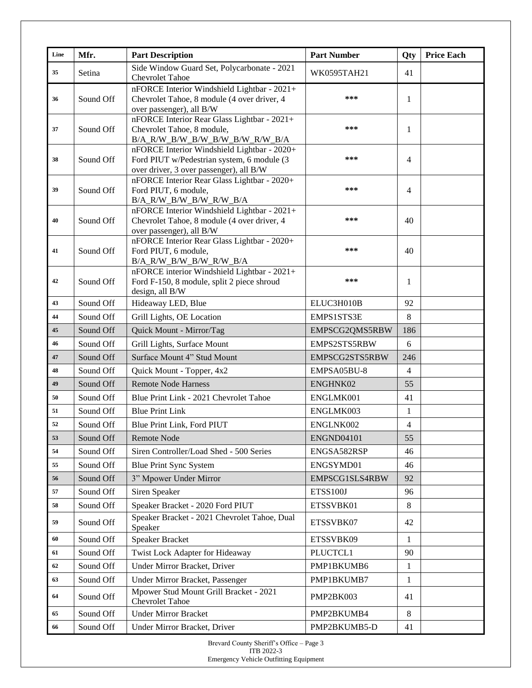| Line | Mfr.      | <b>Part Description</b>                                                                                                              | <b>Part Number</b> | Qty | <b>Price Each</b> |
|------|-----------|--------------------------------------------------------------------------------------------------------------------------------------|--------------------|-----|-------------------|
| 35   | Setina    | Side Window Guard Set, Polycarbonate - 2021<br><b>Chevrolet Tahoe</b>                                                                | WK0595TAH21        | 41  |                   |
| 36   | Sound Off | nFORCE Interior Windshield Lightbar - 2021+<br>Chevrolet Tahoe, 8 module (4 over driver, 4<br>over passenger), all B/W               | ***                | 1   |                   |
| 37   | Sound Off | nFORCE Interior Rear Glass Lightbar - 2021+<br>Chevrolet Tahoe, 8 module,<br>B/A_R/W_B/W_B/W_B/W_B/W_R/W_B/A                         | ***                | 1   |                   |
| 38   | Sound Off | nFORCE Interior Windshield Lightbar - 2020+<br>Ford PIUT w/Pedestrian system, 6 module (3<br>over driver, 3 over passenger), all B/W | ***                | 4   |                   |
| 39   | Sound Off | nFORCE Interior Rear Glass Lightbar - 2020+<br>Ford PIUT, 6 module,<br>B/A_R/W_B/W_B/W_R/W_B/A                                       | ***                | 4   |                   |
| 40   | Sound Off | nFORCE Interior Windshield Lightbar - 2021+<br>Chevrolet Tahoe, 8 module (4 over driver, 4<br>over passenger), all B/W               | ***                | 40  |                   |
| 41   | Sound Off | nFORCE Interior Rear Glass Lightbar - 2020+<br>Ford PIUT, 6 module,<br>B/A_R/W_B/W_B/W_R/W_B/A                                       | ***                | 40  |                   |
| 42   | Sound Off | nFORCE interior Windshield Lightbar - 2021+<br>Ford F-150, 8 module, split 2 piece shroud<br>design, all B/W                         | ***                | 1   |                   |
| 43   | Sound Off | Hideaway LED, Blue                                                                                                                   | ELUC3H010B         | 92  |                   |
| 44   | Sound Off | Grill Lights, OE Location                                                                                                            | EMPS1STS3E         | 8   |                   |
| 45   | Sound Off | Quick Mount - Mirror/Tag                                                                                                             | EMPSCG2QMS5RBW     | 186 |                   |
| 46   | Sound Off | Grill Lights, Surface Mount                                                                                                          | EMPS2STS5RBW       | 6   |                   |
| 47   | Sound Off | Surface Mount 4" Stud Mount                                                                                                          | EMPSCG2STS5RBW     | 246 |                   |
| 48   | Sound Off | Quick Mount - Topper, 4x2                                                                                                            | EMPSA05BU-8        | 4   |                   |
| 49   | Sound Off | <b>Remote Node Harness</b>                                                                                                           | ENGHNK02           | 55  |                   |
| 50   | Sound Off | Blue Print Link - 2021 Chevrolet Tahoe                                                                                               | ENGLMK001          | 41  |                   |
| 51   | Sound Off | <b>Blue Print Link</b>                                                                                                               | ENGLMK003          | 1   |                   |
| 52   | Sound Off | Blue Print Link, Ford PIUT                                                                                                           | ENGLNK002          | 4   |                   |
| 53   | Sound Off | <b>Remote Node</b>                                                                                                                   | ENGND04101         | 55  |                   |
| 54   | Sound Off | Siren Controller/Load Shed - 500 Series                                                                                              | ENGSA582RSP        | 46  |                   |
| 55   | Sound Off | <b>Blue Print Sync System</b>                                                                                                        | ENGSYMD01          | 46  |                   |
| 56   | Sound Off | 3" Mpower Under Mirror                                                                                                               | EMPSCG1SLS4RBW     | 92  |                   |
| 57   | Sound Off | Siren Speaker                                                                                                                        | <b>ETSS100J</b>    | 96  |                   |
| 58   | Sound Off | Speaker Bracket - 2020 Ford PIUT                                                                                                     | ETSSVBK01          | 8   |                   |
| 59   | Sound Off | Speaker Bracket - 2021 Chevrolet Tahoe, Dual<br>Speaker                                                                              | ETSSVBK07          | 42  |                   |
| 60   | Sound Off | <b>Speaker Bracket</b>                                                                                                               | ETSSVBK09          | 1   |                   |
| 61   | Sound Off | Twist Lock Adapter for Hideaway                                                                                                      | PLUCTCL1           | 90  |                   |
| 62   | Sound Off | Under Mirror Bracket, Driver                                                                                                         | PMP1BKUMB6         | 1   |                   |
| 63   | Sound Off | Under Mirror Bracket, Passenger                                                                                                      | PMP1BKUMB7         | 1   |                   |
| 64   | Sound Off | Mpower Stud Mount Grill Bracket - 2021<br><b>Chevrolet Tahoe</b>                                                                     | PMP2BK003          | 41  |                   |
| 65   | Sound Off | <b>Under Mirror Bracket</b>                                                                                                          | PMP2BKUMB4         | 8   |                   |
| 66   | Sound Off | Under Mirror Bracket, Driver                                                                                                         | PMP2BKUMB5-D       | 41  |                   |

Brevard County Sheriff's Office – Page 3 ITB 2022-3 Emergency Vehicle Outfitting Equipment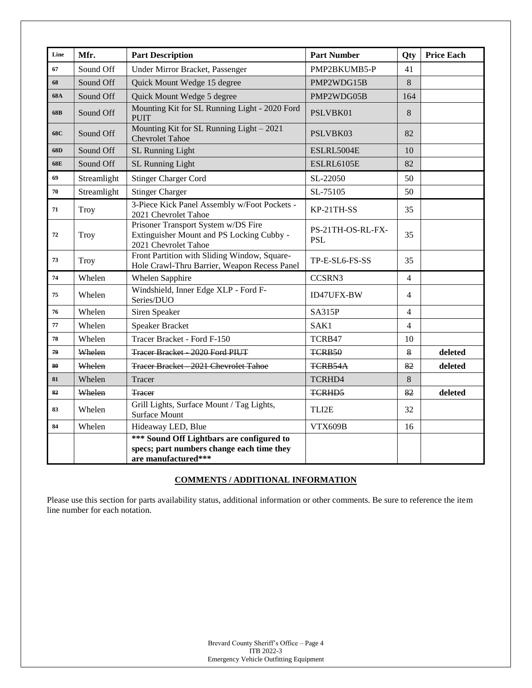| Line | Mfr.        | <b>Part Description</b>                                                                                       | <b>Part Number</b>              | Qty            | <b>Price Each</b> |
|------|-------------|---------------------------------------------------------------------------------------------------------------|---------------------------------|----------------|-------------------|
| 67   | Sound Off   | Under Mirror Bracket, Passenger                                                                               | PMP2BKUMB5-P                    | 41             |                   |
| 68   | Sound Off   | Quick Mount Wedge 15 degree                                                                                   | PMP2WDG15B                      | 8              |                   |
| 68A  | Sound Off   | Quick Mount Wedge 5 degree                                                                                    | PMP2WDG05B                      | 164            |                   |
| 68B  | Sound Off   | Mounting Kit for SL Running Light - 2020 Ford<br><b>PUIT</b>                                                  | PSLVBK01                        | 8              |                   |
| 68C  | Sound Off   | Mounting Kit for SL Running Light - 2021<br><b>Chevrolet Tahoe</b>                                            | PSLVBK03                        | 82             |                   |
| 68D  | Sound Off   | SL Running Light                                                                                              | ESLRL5004E<br>10                |                |                   |
| 68E  | Sound Off   | SL Running Light                                                                                              | ESLRL6105E                      | 82             |                   |
| 69   | Streamlight | <b>Stinger Charger Cord</b>                                                                                   | SL-22050                        | 50             |                   |
| 70   | Streamlight | <b>Stinger Charger</b>                                                                                        | SL-75105                        | 50             |                   |
| 71   | Troy        | 3-Piece Kick Panel Assembly w/Foot Pockets -<br>2021 Chevrolet Tahoe                                          | KP-21TH-SS                      | 35             |                   |
| 72   | Troy        | Prisoner Transport System w/DS Fire<br>Extinguisher Mount and PS Locking Cubby -<br>2021 Chevrolet Tahoe      | PS-21TH-OS-RL-FX-<br><b>PSL</b> | 35             |                   |
| 73   | <b>Troy</b> | Front Partition with Sliding Window, Square-<br>Hole Crawl-Thru Barrier, Weapon Recess Panel                  | TP-E-SL6-FS-SS                  | 35             |                   |
| 74   | Whelen      | Whelen Sapphire                                                                                               | CCSRN3                          | $\overline{4}$ |                   |
| 75   | Whelen      | Windshield, Inner Edge XLP - Ford F-<br>Series/DUO                                                            | ID47UFX-BW                      | 4              |                   |
| 76   | Whelen      | Siren Speaker                                                                                                 | <b>SA315P</b>                   | $\overline{4}$ |                   |
| 77   | Whelen      | <b>Speaker Bracket</b>                                                                                        | SAK1                            | $\overline{4}$ |                   |
| 78   | Whelen      | Tracer Bracket - Ford F-150                                                                                   | TCRB47                          | 10             |                   |
| 79   | Whelen      | Tracer Bracket 2020 Ford PIUT                                                                                 | TCRB50                          | 8              | deleted           |
| 80   | Whelen      | Tracer Bracket 2021 Chevrolet Tahoe                                                                           | TCRB54A<br>82                   |                | deleted           |
| 81   | Whelen      | Tracer                                                                                                        | TCRHD4                          | 8              |                   |
| 82   | Whelen      | <b>Tracer</b>                                                                                                 | TCRHD5                          | 82             | deleted           |
| 83   | Whelen      | Grill Lights, Surface Mount / Tag Lights,<br><b>Surface Mount</b>                                             | TLI2E                           | 32             |                   |
| 84   | Whelen      | Hideaway LED, Blue                                                                                            | VTX609B<br>16                   |                |                   |
|      |             | *** Sound Off Lightbars are configured to<br>specs; part numbers change each time they<br>are manufactured*** |                                 |                |                   |

## **COMMENTS / ADDITIONAL INFORMATION**

Please use this section for parts availability status, additional information or other comments. Be sure to reference the item line number for each notation.